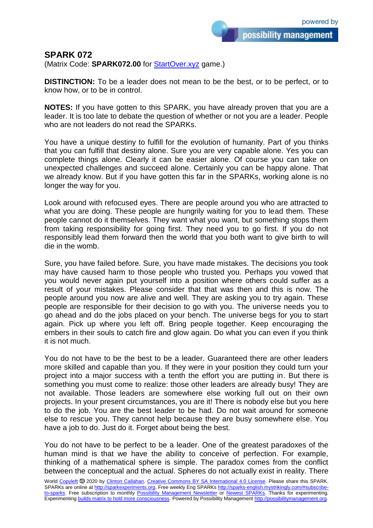possibility management

## **SPARK 072**

(Matrix Code: **SPARK072.00** for **StartOver.xyz** game.)

**DISTINCTION:** To be a leader does not mean to be the best, or to be perfect, or to know how, or to be in control.

**NOTES:** If you have gotten to this SPARK, you have already proven that you are a leader. It is too late to debate the question of whether or not you are a leader. People who are not leaders do not read the SPARKs.

You have a unique destiny to fulfill for the evolution of humanity. Part of you thinks that you can fulfill that destiny alone. Sure you are very capable alone. Yes you can complete things alone. Clearly it can be easier alone. Of course you can take on unexpected challenges and succeed alone. Certainly you can be happy alone. That we already know. But if you have gotten this far in the SPARKs, working alone is no longer the way for you.

Look around with refocused eyes. There are people around you who are attracted to what you are doing. These people are hungrily waiting for you to lead them. These people cannot do it themselves. They want what you want, but something stops them from taking responsibility for going first. They need you to go first. If you do not responsibly lead them forward then the world that you both want to give birth to will die in the womb.

Sure, you have failed before. Sure, you have made mistakes. The decisions you took may have caused harm to those people who trusted you. Perhaps you vowed that you would never again put yourself into a position where others could suffer as a result of your mistakes. Please consider that that was then and this is now. The people around you now are alive and well. They are asking you to try again. These people are responsible for their decision to go with you. The universe needs you to go ahead and do the jobs placed on your bench. The universe begs for you to start again. Pick up where you left off. Bring people together. Keep encouraging the embers in their souls to catch fire and glow again. Do what you can even if you think it is not much.

You do not have to be the best to be a leader. Guaranteed there are other leaders more skilled and capable than you. If they were in your position they could turn your project into a major success with a tenth the effort you are putting in. But there is something you must come to realize: those other leaders are already busy! They are not available. Those leaders are somewhere else working full out on their own projects. In your present circumstances, you are it! There is nobody else but you here to do the job. You are the best leader to be had. Do not wait around for someone else to rescue you. They cannot help because they are busy somewhere else. You have a job to do. Just do it. Forget about being the best.

You do not have to be perfect to be a leader. One of the greatest paradoxes of the human mind is that we have the ability to conceive of perfection. For example, thinking of a mathematical sphere is simple. The paradox comes from the conflict between the conceptual and the actual. Spheres do not actually exist in reality. There